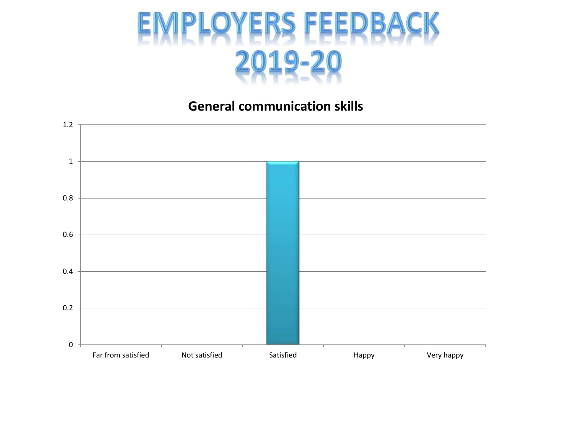

### **General communication skills**

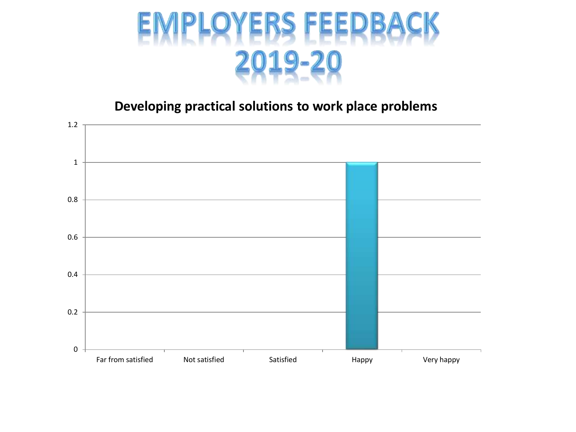

**Developing practical solutions to work place problems**

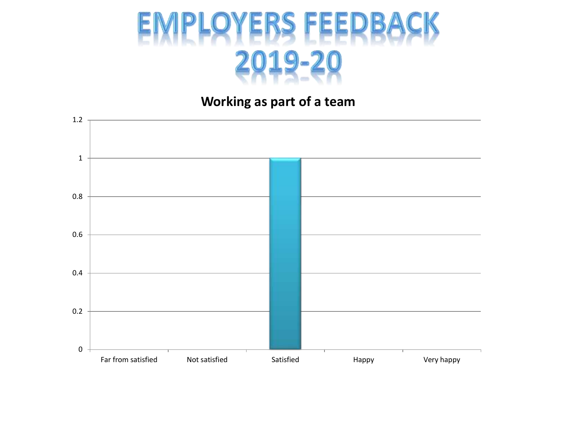

**Working as part of a team**

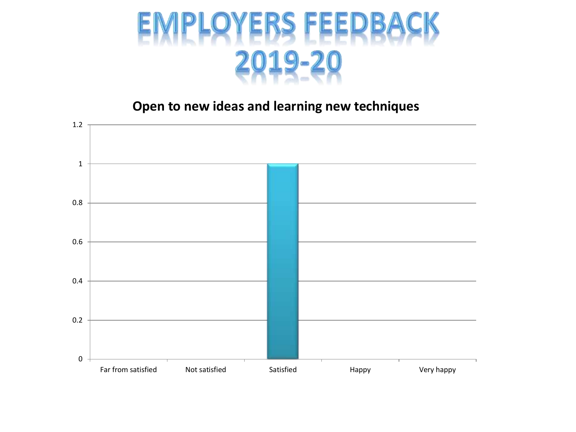

**Open to new ideas and learning new techniques**

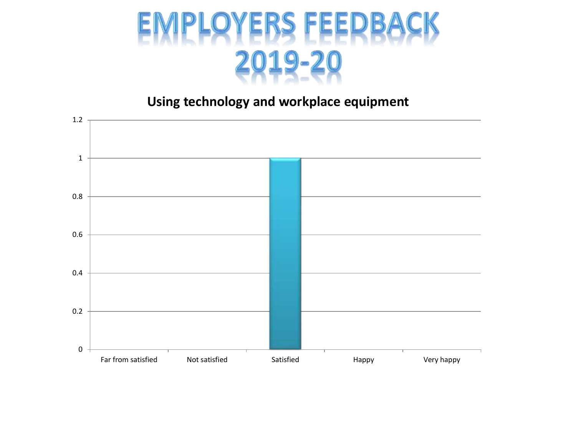

# **Using technology and workplace equipment**

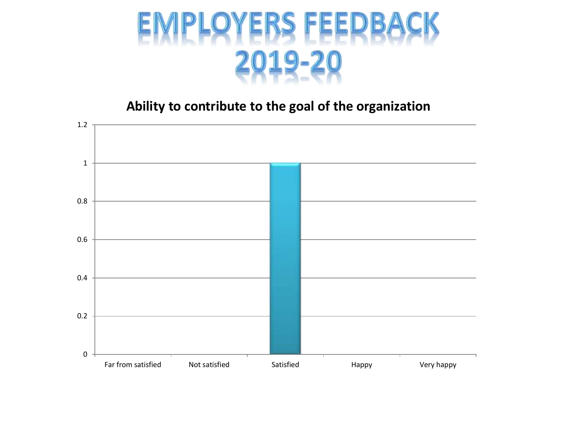

**Ability to contribute to the goal of the organization**

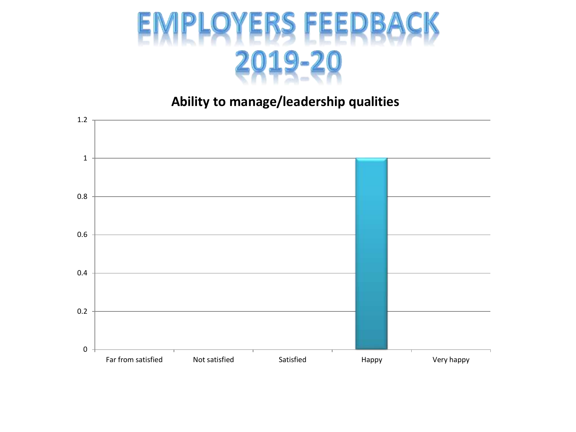

# **Ability to manage/leadership qualities**

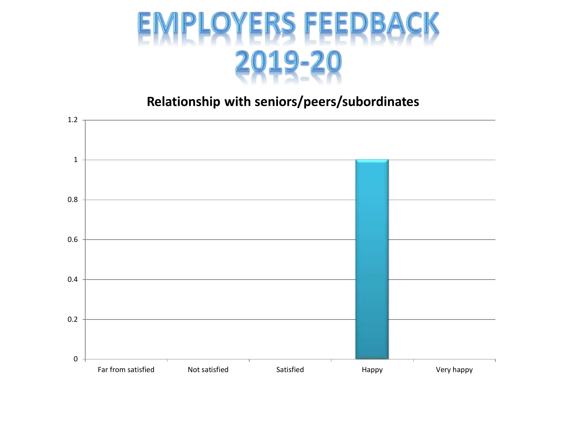

### **Relationship with seniors/peers/subordinates**

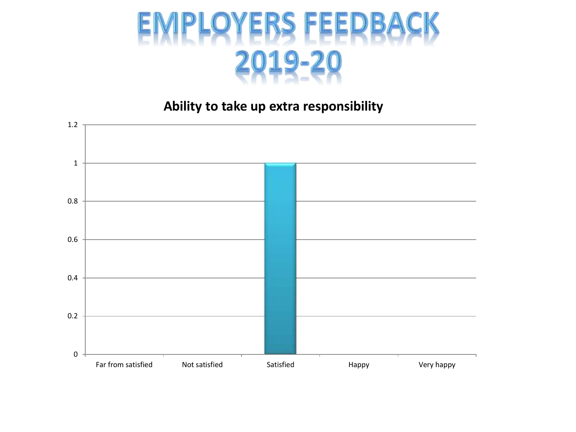

**Ability to take up extra responsibility**